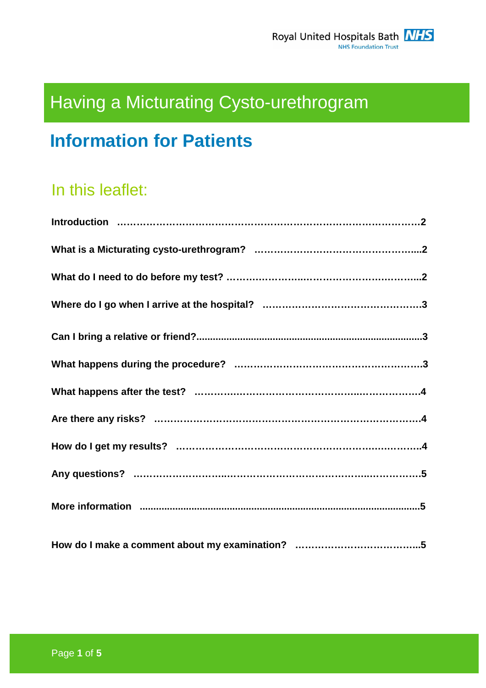# Having a Micturating Cysto-urethrogram

## **Information for Patients**

## In this leaflet: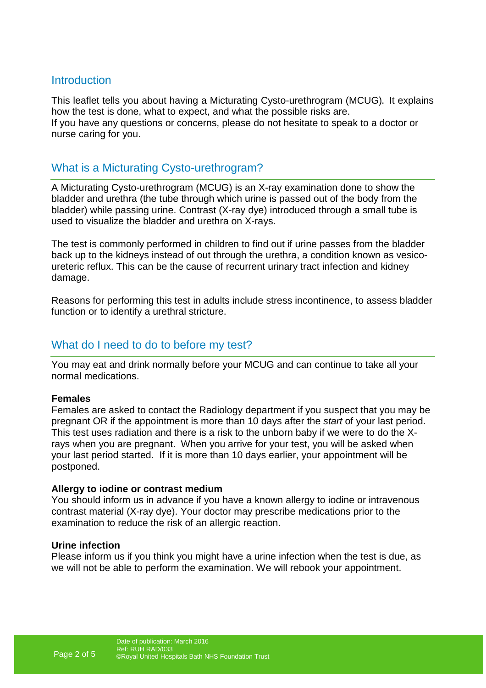#### **Introduction**

This leaflet tells you about having a Micturating Cysto-urethrogram (MCUG). It explains how the test is done, what to expect, and what the possible risks are. If you have any questions or concerns, please do not hesitate to speak to a doctor or nurse caring for you.

#### What is a Micturating Cysto-urethrogram?

A Micturating Cysto-urethrogram (MCUG) is an X-ray examination done to show the bladder and urethra (the tube through which urine is passed out of the body from the bladder) while passing urine. Contrast (X-ray dye) introduced through a small tube is used to visualize the bladder and urethra on X-rays.

The test is commonly performed in children to find out if urine passes from the bladder back up to the kidneys instead of out through the urethra, a condition known as vesicoureteric reflux. This can be the cause of recurrent urinary tract infection and kidney damage.

Reasons for performing this test in adults include stress incontinence, to assess bladder function or to identify a urethral stricture.

#### What do I need to do to before my test?

You may eat and drink normally before your MCUG and can continue to take all your normal medications.

#### **Females**

Females are asked to contact the Radiology department if you suspect that you may be pregnant OR if the appointment is more than 10 days after the start of your last period. This test uses radiation and there is a risk to the unborn baby if we were to do the Xrays when you are pregnant. When you arrive for your test, you will be asked when your last period started. If it is more than 10 days earlier, your appointment will be postponed.

#### **Allergy to iodine or contrast medium**

You should inform us in advance if you have a known allergy to iodine or intravenous contrast material (X-ray dye). Your doctor may prescribe medications prior to the examination to reduce the risk of an allergic reaction.

#### **Urine infection**

Please inform us if you think you might have a urine infection when the test is due, as we will not be able to perform the examination. We will rebook your appointment.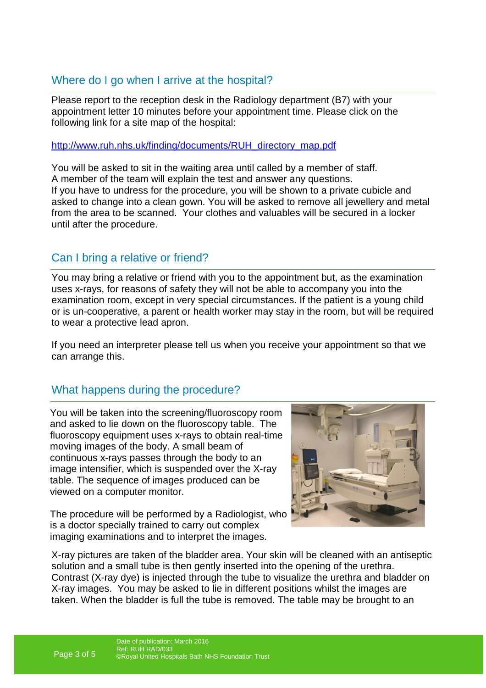## Where do I go when I arrive at the hospital?

Please report to the reception desk in the Radiology department (B7) with your appointment letter 10 minutes before your appointment time. Please click on the following link for a site map of the hospital:

http://www.ruh.nhs.uk/finding/documents/RUH\_directory\_map.pdf

You will be asked to sit in the waiting area until called by a member of staff. A member of the team will explain the test and answer any questions. If you have to undress for the procedure, you will be shown to a private cubicle and asked to change into a clean gown. You will be asked to remove all jewellery and metal from the area to be scanned. Your clothes and valuables will be secured in a locker until after the procedure.

## Can I bring a relative or friend?

You may bring a relative or friend with you to the appointment but, as the examination uses x-rays, for reasons of safety they will not be able to accompany you into the examination room, except in very special circumstances. If the patient is a young child or is un-cooperative, a parent or health worker may stay in the room, but will be required to wear a protective lead apron.

If you need an interpreter please tell us when you receive your appointment so that we can arrange this.

## What happens during the procedure?

You will be taken into the screening/fluoroscopy room and asked to lie down on the fluoroscopy table. The fluoroscopy equipment uses x-rays to obtain real-time moving images of the body. A small beam of continuous x-rays passes through the body to an image intensifier, which is suspended over the X-ray table. The sequence of images produced can be viewed on a computer monitor.

The procedure will be performed by a Radiologist, who is a doctor specially trained to carry out complex imaging examinations and to interpret the images.



X-ray pictures are taken of the bladder area. Your skin will be cleaned with an antiseptic solution and a small tube is then gently inserted into the opening of the urethra. Contrast (X-ray dye) is injected through the tube to visualize the urethra and bladder on X-ray images. You may be asked to lie in different positions whilst the images are taken. When the bladder is full the tube is removed. The table may be brought to an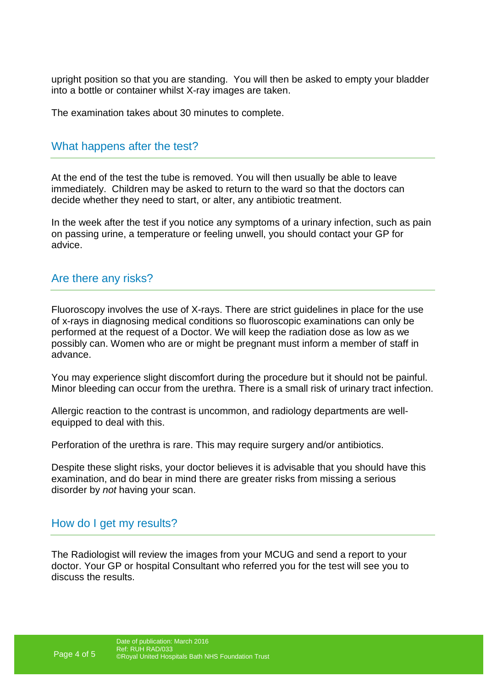upright position so that you are standing. You will then be asked to empty your bladder into a bottle or container whilst X-ray images are taken.

The examination takes about 30 minutes to complete.

#### What happens after the test?

At the end of the test the tube is removed. You will then usually be able to leave immediately. Children may be asked to return to the ward so that the doctors can decide whether they need to start, or alter, any antibiotic treatment.

In the week after the test if you notice any symptoms of a urinary infection, such as pain on passing urine, a temperature or feeling unwell, you should contact your GP for advice.

#### Are there any risks?

Fluoroscopy involves the use of X-rays. There are strict guidelines in place for the use of x-rays in diagnosing medical conditions so fluoroscopic examinations can only be performed at the request of a Doctor. We will keep the radiation dose as low as we possibly can. Women who are or might be pregnant must inform a member of staff in advance.

You may experience slight discomfort during the procedure but it should not be painful. Minor bleeding can occur from the urethra. There is a small risk of urinary tract infection.

Allergic reaction to the contrast is uncommon, and radiology departments are wellequipped to deal with this.

Perforation of the urethra is rare. This may require surgery and/or antibiotics.

Despite these slight risks, your doctor believes it is advisable that you should have this examination, and do bear in mind there are greater risks from missing a serious disorder by not having your scan.

#### How do I get my results?

The Radiologist will review the images from your MCUG and send a report to your doctor. Your GP or hospital Consultant who referred you for the test will see you to discuss the results.